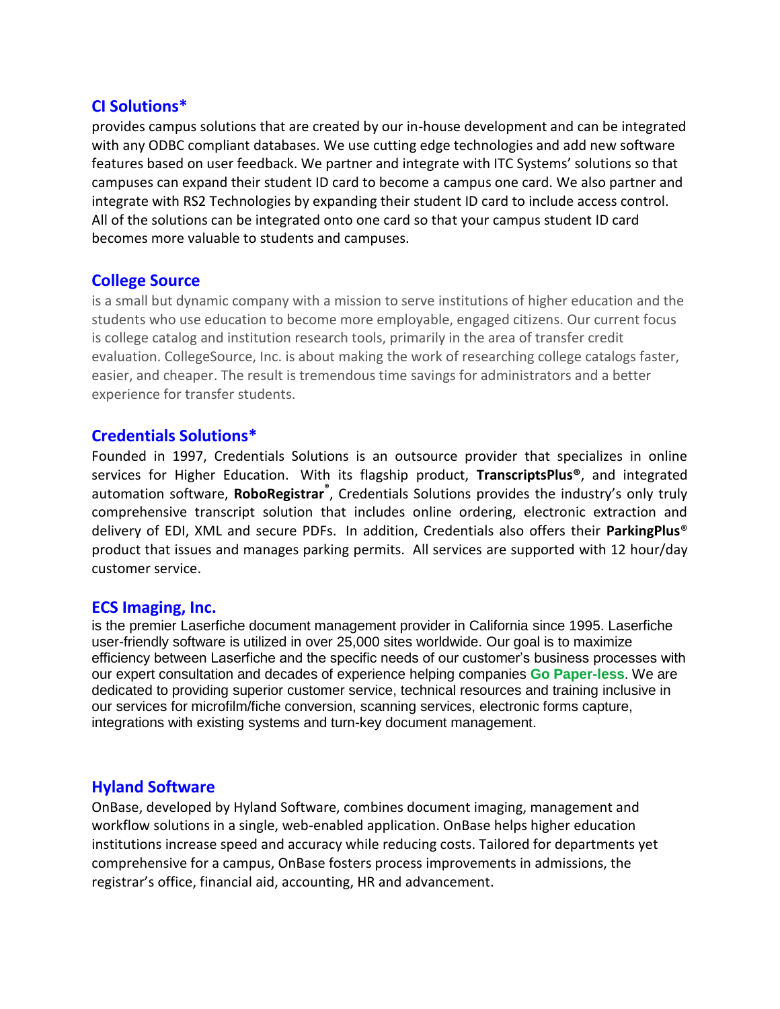## **CI Solutions\***

provides campus solutions that are created by our in-house development and can be integrated with any ODBC compliant databases. We use cutting edge technologies and add new software features based on user feedback. We partner and integrate with ITC Systems' solutions so that campuses can expand their student ID card to become a campus one card. We also partner and integrate with RS2 Technologies by expanding their student ID card to include access control. All of the solutions can be integrated onto one card so that your campus student ID card becomes more valuable to students and campuses.

### **College Source**

is a small but dynamic company with a mission to serve institutions of higher education and the students who use education to become more employable, engaged citizens. Our current focus is college catalog and institution research tools, primarily in the area of transfer credit evaluation. CollegeSource, Inc. is about making the work of researching college catalogs faster, easier, and cheaper. The result is tremendous time savings for administrators and a better experience for transfer students.

## **Credentials Solutions\***

Founded in 1997, Credentials Solutions is an outsource provider that specializes in online services for Higher Education. With its flagship product, **TranscriptsPlus®**, and integrated automation software, **RoboRegistrar®** , Credentials Solutions provides the industry's only truly comprehensive transcript solution that includes online ordering, electronic extraction and delivery of EDI, XML and secure PDFs. In addition, Credentials also offers their **ParkingPlus**® product that issues and manages parking permits. All services are supported with 12 hour/day customer service.

### **ECS Imaging, Inc.**

is the premier Laserfiche document management provider in California since 1995. Laserfiche user-friendly software is utilized in over 25,000 sites worldwide. Our goal is to maximize efficiency between Laserfiche and the specific needs of our customer's business processes with our expert consultation and decades of experience helping companies **Go Paper-less**. We are dedicated to providing superior customer service, technical resources and training inclusive in our services for microfilm/fiche conversion, scanning services, electronic forms capture, integrations with existing systems and turn-key document management.

### **Hyland Software**

OnBase, developed by Hyland Software, combines document imaging, management and workflow solutions in a single, web-enabled application. OnBase helps higher education institutions increase speed and accuracy while reducing costs. Tailored for departments yet comprehensive for a campus, OnBase fosters process improvements in admissions, the registrar's office, financial aid, accounting, HR and advancement.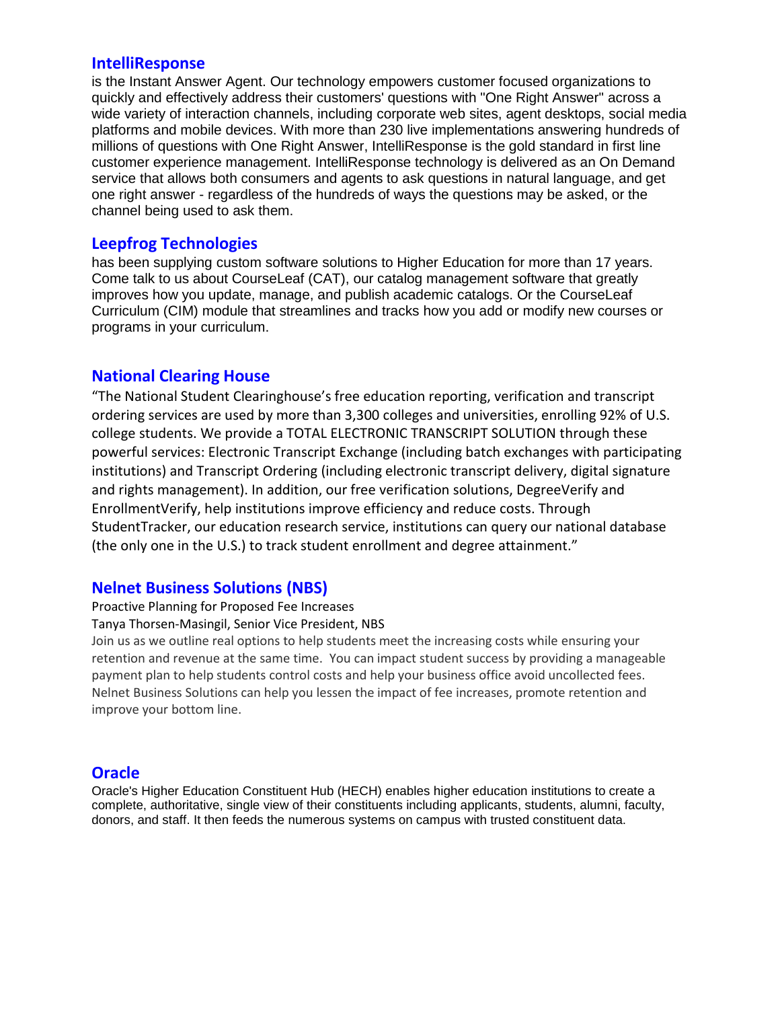#### **IntelliResponse**

is the Instant Answer Agent. Our technology empowers customer focused organizations to quickly and effectively address their customers' questions with "One Right Answer" across a wide variety of interaction channels, including corporate web sites, agent desktops, social media platforms and mobile devices. With more than 230 live implementations answering hundreds of millions of questions with One Right Answer, IntelliResponse is the gold standard in first line customer experience management. IntelliResponse technology is delivered as an On Demand service that allows both consumers and agents to ask questions in natural language, and get one right answer - regardless of the hundreds of ways the questions may be asked, or the channel being used to ask them.

### **Leepfrog Technologies**

has been supplying custom software solutions to Higher Education for more than 17 years. Come talk to us about CourseLeaf (CAT), our catalog management software that greatly improves how you update, manage, and publish academic catalogs. Or the CourseLeaf Curriculum (CIM) module that streamlines and tracks how you add or modify new courses or programs in your curriculum.

### **National Clearing House**

"The National Student Clearinghouse's free education reporting, verification and transcript ordering services are used by more than 3,300 colleges and universities, enrolling 92% of U.S. college students. We provide a TOTAL ELECTRONIC TRANSCRIPT SOLUTION through these powerful services: Electronic Transcript Exchange (including batch exchanges with participating institutions) and Transcript Ordering (including electronic transcript delivery, digital signature and rights management). In addition, our free verification solutions, DegreeVerify and EnrollmentVerify, help institutions improve efficiency and reduce costs. Through StudentTracker, our education research service, institutions can query our national database (the only one in the U.S.) to track student enrollment and degree attainment."

#### **Nelnet Business Solutions (NBS)**

Proactive Planning for Proposed Fee Increases

Tanya Thorsen-Masingil, Senior Vice President, NBS

Join us as we outline real options to help students meet the increasing costs while ensuring your retention and revenue at the same time. You can impact student success by providing a manageable payment plan to help students control costs and help your business office avoid uncollected fees. Nelnet Business Solutions can help you lessen the impact of fee increases, promote retention and improve your bottom line.

#### **Oracle**

Oracle's Higher Education Constituent Hub (HECH) enables higher education institutions to create a complete, authoritative, single view of their constituents including applicants, students, alumni, faculty, donors, and staff. It then feeds the numerous systems on campus with trusted constituent data.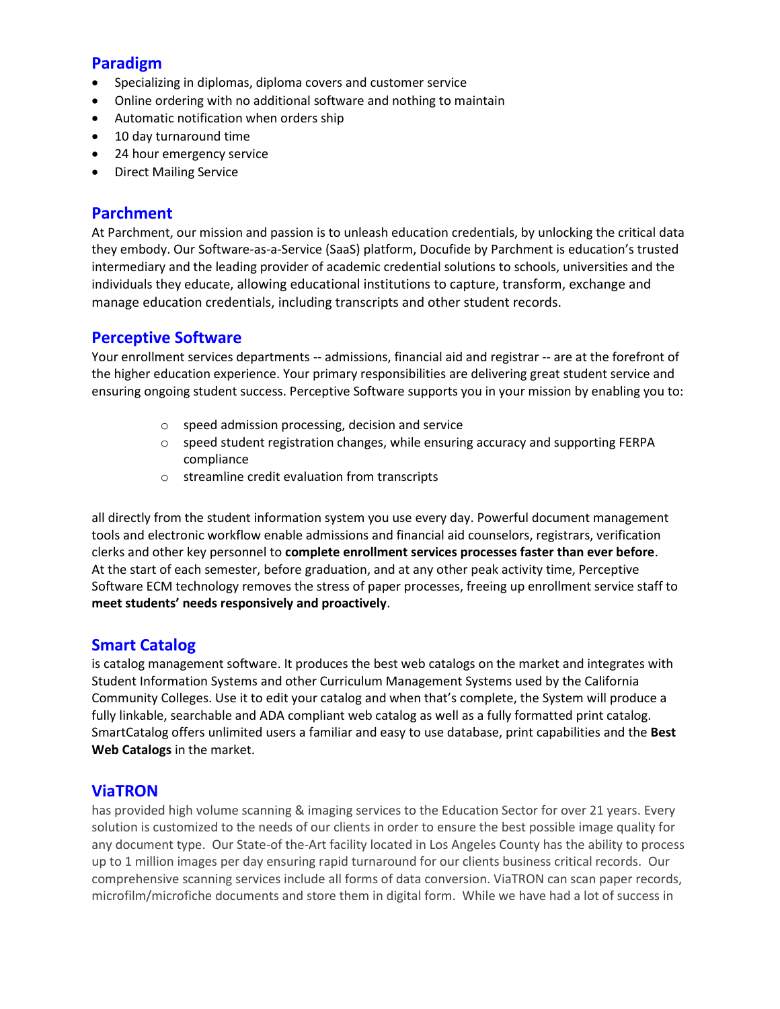## **Paradigm**

- Specializing in diplomas, diploma covers and customer service
- Online ordering with no additional software and nothing to maintain
- Automatic notification when orders ship
- 10 day turnaround time
- 24 hour emergency service
- Direct Mailing Service

## **Parchment**

At Parchment, our mission and passion is to unleash education credentials, by unlocking the critical data they embody. Our Software-as-a-Service (SaaS) platform, Docufide by Parchment is education's trusted intermediary and the leading provider of academic credential solutions to schools, universities and the individuals they educate, allowing educational institutions to capture, transform, exchange and manage education credentials, including transcripts and other student records.

## **Perceptive Software**

Your enrollment services departments -- admissions, financial aid and registrar -- are at the forefront of the higher education experience. Your primary responsibilities are delivering great student service and ensuring ongoing student success. Perceptive Software supports you in your mission by enabling you to:

- o speed admission processing, decision and service
- $\circ$  speed student registration changes, while ensuring accuracy and supporting FERPA compliance
- o streamline credit evaluation from transcripts

all directly from the student information system you use every day. Powerful document management tools and electronic workflow enable admissions and financial aid counselors, registrars, verification clerks and other key personnel to **complete enrollment services processes faster than ever before**. At the start of each semester, before graduation, and at any other peak activity time, Perceptive Software ECM technology removes the stress of paper processes, freeing up enrollment service staff to **meet students' needs responsively and proactively**.

# **Smart Catalog**

is catalog management software. It produces the best web catalogs on the market and integrates with Student Information Systems and other Curriculum Management Systems used by the California Community Colleges. Use it to edit your catalog and when that's complete, the System will produce a fully linkable, searchable and ADA compliant web catalog as well as a fully formatted print catalog. SmartCatalog offers unlimited users a familiar and easy to use database, print capabilities and the **Best Web Catalogs** in the market.

# **ViaTRON**

has provided high volume scanning & imaging services to the Education Sector for over 21 years. Every solution is customized to the needs of our clients in order to ensure the best possible image quality for any document type. Our State-of the-Art facility located in Los Angeles County has the ability to process up to 1 million images per day ensuring rapid turnaround for our clients business critical records. Our comprehensive scanning services include all forms of data conversion. ViaTRON can scan paper records, microfilm/microfiche documents and store them in digital form. While we have had a lot of success in